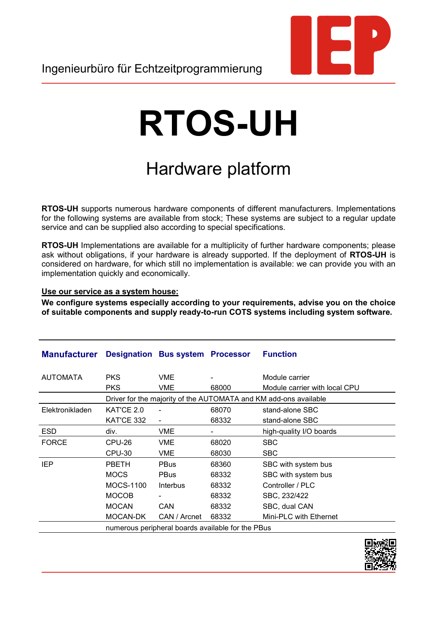## **RTOS-UH**

## Hardware platform

**RTOS-UH** supports numerous hardware components of different manufacturers. Implementations for the following systems are available from stock; These systems are subject to a regular update service and can be supplied also according to special specifications.

**RTOS-UH** Implementations are available for a multiplicity of further hardware components; please ask without obligations, if your hardware is already supported. If the deployment of **RTOS-UH** is considered on hardware, for which still no implementation is available: we can provide you with an implementation quickly and economically.

## **Use our service as a system house:**

**We configure systems especially according to your requirements, advise you on the choice of suitable components and supply ready-to-run COTS systems including system software.**

| <b>Manufacturer</b> |                                                                  | <b>Designation Bus system Processor</b> |                          | <b>Function</b>               |  |  |
|---------------------|------------------------------------------------------------------|-----------------------------------------|--------------------------|-------------------------------|--|--|
| <b>AUTOMATA</b>     | <b>PKS</b>                                                       | <b>VME</b>                              |                          | Module carrier                |  |  |
|                     | <b>PKS</b>                                                       | VME                                     | 68000                    | Module carrier with local CPU |  |  |
|                     | Driver for the majority of the AUTOMATA and KM add-ons available |                                         |                          |                               |  |  |
| Elektronikladen     | KAT'CE 2.0                                                       |                                         | 68070                    | stand-alone SBC               |  |  |
|                     | KAT'CE 332                                                       | $\overline{\phantom{a}}$                | 68332                    | stand-alone SBC               |  |  |
| <b>ESD</b>          | div.                                                             | <b>VME</b>                              | $\overline{\phantom{0}}$ | high-quality I/O boards       |  |  |
| <b>FORCE</b>        | CPU-26                                                           | <b>VME</b>                              | 68020                    | <b>SBC</b>                    |  |  |
|                     | CPU-30                                                           | VME                                     | 68030                    | <b>SBC</b>                    |  |  |
| IEP                 | <b>PBETH</b>                                                     | <b>PBus</b>                             | 68360                    | SBC with system bus           |  |  |
|                     | <b>MOCS</b>                                                      | <b>PBus</b>                             | 68332                    | SBC with system bus           |  |  |
|                     | <b>MOCS-1100</b>                                                 | Interbus                                | 68332                    | Controller / PLC              |  |  |
|                     | <b>MOCOB</b>                                                     |                                         | 68332                    | SBC, 232/422                  |  |  |
|                     | <b>MOCAN</b>                                                     | CAN                                     | 68332                    | SBC, dual CAN                 |  |  |
|                     | MOCAN-DK                                                         | CAN / Arcnet                            | 68332                    | Mini-PLC with Ethernet        |  |  |
|                     | numerous peripheral boards available for the PBus                |                                         |                          |                               |  |  |